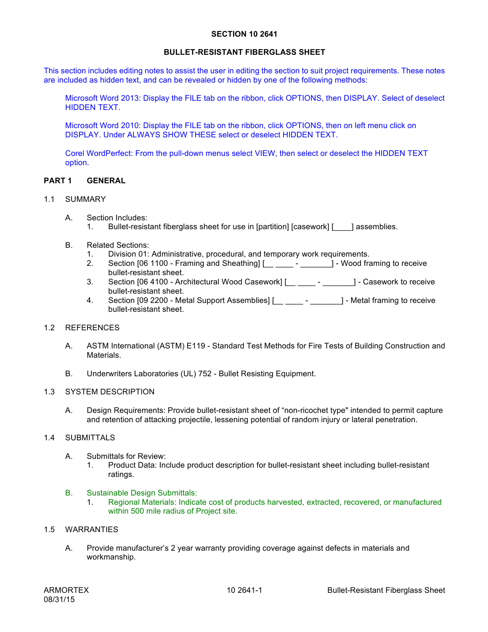#### **SECTION 10 2641**

# **BULLET-RESISTANT FIBERGLASS SHEET**

This section includes editing notes to assist the user in editing the section to suit project requirements. These notes are included as hidden text, and can be revealed or hidden by one of the following methods:

Microsoft Word 2013: Display the FILE tab on the ribbon, click OPTIONS, then DISPLAY. Select of deselect HIDDEN TEXT.

Microsoft Word 2010: Display the FILE tab on the ribbon, click OPTIONS, then on left menu click on DISPLAY. Under ALWAYS SHOW THESE select or deselect HIDDEN TEXT.

Corel WordPerfect: From the pull-down menus select VIEW, then select or deselect the HIDDEN TEXT option.

## **PART 1 GENERAL**

## 1.1 SUMMARY

- A. Section Includes:
	- 1. Bullet-resistant fiberglass sheet for use in [partition] [casework] [ \_\_\_\_] assemblies.
- B. Related Sections:
	- 1. Division 01: Administrative, procedural, and temporary work requirements.
	- 2. Section [06 1100 Framing and Sheathing] [\_\_ \_\_\_\_ \_\_\_\_\_\_\_\_] Wood framing to receive bullet-resistant sheet.
	- 3. Section [06 4100 Architectural Wood Casework] [\_\_ \_\_\_\_ \_\_\_\_\_\_\_] Casework to receive bullet-resistant sheet.
	- 4. Section [09 2200 Metal Support Assemblies] [\_\_ \_\_\_\_ \_\_\_\_\_\_\_] Metal framing to receive bullet-resistant sheet.

# 1.2 REFERENCES

- A. ASTM International (ASTM) E119 Standard Test Methods for Fire Tests of Building Construction and Materials.
- B. Underwriters Laboratories (UL) 752 Bullet Resisting Equipment.

#### 1.3 SYSTEM DESCRIPTION

A. Design Requirements: Provide bullet-resistant sheet of "non-ricochet type" intended to permit capture and retention of attacking projectile, lessening potential of random injury or lateral penetration.

#### 1.4 SUBMITTALS

- A. Submittals for Review:
	- 1. Product Data: Include product description for bullet-resistant sheet including bullet-resistant ratings.

#### B. Sustainable Design Submittals:

1. Regional Materials: Indicate cost of products harvested, extracted, recovered, or manufactured within 500 mile radius of Project site.

#### 1.5 WARRANTIES

A. Provide manufacturer's 2 year warranty providing coverage against defects in materials and workmanship.